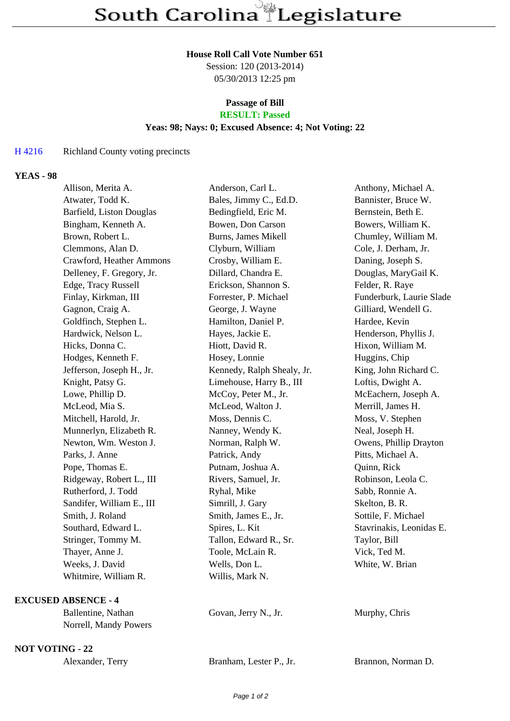# **House Roll Call Vote Number 651**

Session: 120 (2013-2014) 05/30/2013 12:25 pm

#### **Passage of Bill RESULT: Passed**

# **Yeas: 98; Nays: 0; Excused Absence: 4; Not Voting: 22**

#### H 4216 Richland County voting precincts

### **YEAS - 98**

| Allison, Merita A.        | Anderson, Carl L.          | Anthony, Michael A.      |
|---------------------------|----------------------------|--------------------------|
| Atwater, Todd K.          | Bales, Jimmy C., Ed.D.     | Bannister, Bruce W.      |
| Barfield, Liston Douglas  | Bedingfield, Eric M.       | Bernstein, Beth E.       |
| Bingham, Kenneth A.       | Bowen, Don Carson          | Bowers, William K.       |
| Brown, Robert L.          | Burns, James Mikell        | Chumley, William M.      |
| Clemmons, Alan D.         | Clyburn, William           | Cole, J. Derham, Jr.     |
| Crawford, Heather Ammons  | Crosby, William E.         | Daning, Joseph S.        |
| Delleney, F. Gregory, Jr. | Dillard, Chandra E.        | Douglas, MaryGail K.     |
| Edge, Tracy Russell       | Erickson, Shannon S.       | Felder, R. Raye          |
| Finlay, Kirkman, III      | Forrester, P. Michael      | Funderburk, Laurie Slade |
| Gagnon, Craig A.          | George, J. Wayne           | Gilliard, Wendell G.     |
| Goldfinch, Stephen L.     | Hamilton, Daniel P.        | Hardee, Kevin            |
| Hardwick, Nelson L.       | Hayes, Jackie E.           | Henderson, Phyllis J.    |
| Hicks, Donna C.           | Hiott, David R.            | Hixon, William M.        |
| Hodges, Kenneth F.        | Hosey, Lonnie              | Huggins, Chip            |
| Jefferson, Joseph H., Jr. | Kennedy, Ralph Shealy, Jr. | King, John Richard C.    |
| Knight, Patsy G.          | Limehouse, Harry B., III   | Loftis, Dwight A.        |
| Lowe, Phillip D.          | McCoy, Peter M., Jr.       | McEachern, Joseph A.     |
| McLeod, Mia S.            | McLeod, Walton J.          | Merrill, James H.        |
| Mitchell, Harold, Jr.     | Moss, Dennis C.            | Moss, V. Stephen         |
| Munnerlyn, Elizabeth R.   | Nanney, Wendy K.           | Neal, Joseph H.          |
| Newton, Wm. Weston J.     | Norman, Ralph W.           | Owens, Phillip Drayton   |
| Parks, J. Anne            | Patrick, Andy              | Pitts, Michael A.        |
| Pope, Thomas E.           | Putnam, Joshua A.          | Quinn, Rick              |
| Ridgeway, Robert L., III  | Rivers, Samuel, Jr.        | Robinson, Leola C.       |
| Rutherford, J. Todd       | Ryhal, Mike                | Sabb, Ronnie A.          |
| Sandifer, William E., III | Simrill, J. Gary           | Skelton, B. R.           |
| Smith, J. Roland          | Smith, James E., Jr.       | Sottile, F. Michael      |
| Southard, Edward L.       | Spires, L. Kit             | Stavrinakis, Leonidas E. |
| Stringer, Tommy M.        | Tallon, Edward R., Sr.     | Taylor, Bill             |
| Thayer, Anne J.           | Toole, McLain R.           | Vick, Ted M.             |
| Weeks, J. David           | Wells, Don L.              | White, W. Brian          |
| Whitmire, William R.      | Willis, Mark N.            |                          |
|                           |                            |                          |

### **EXCUSED ABSENCE - 4**

| Ballentine, Nathan    | Govan, Jerry N., Jr. |
|-----------------------|----------------------|
| Norrell, Mandy Powers |                      |

**NOT VOTING - 22**

| Alexander, Terry | Branham, Lester P., Jr. | Brannon. Norman D. |
|------------------|-------------------------|--------------------|
|------------------|-------------------------|--------------------|

Murphy, Chris